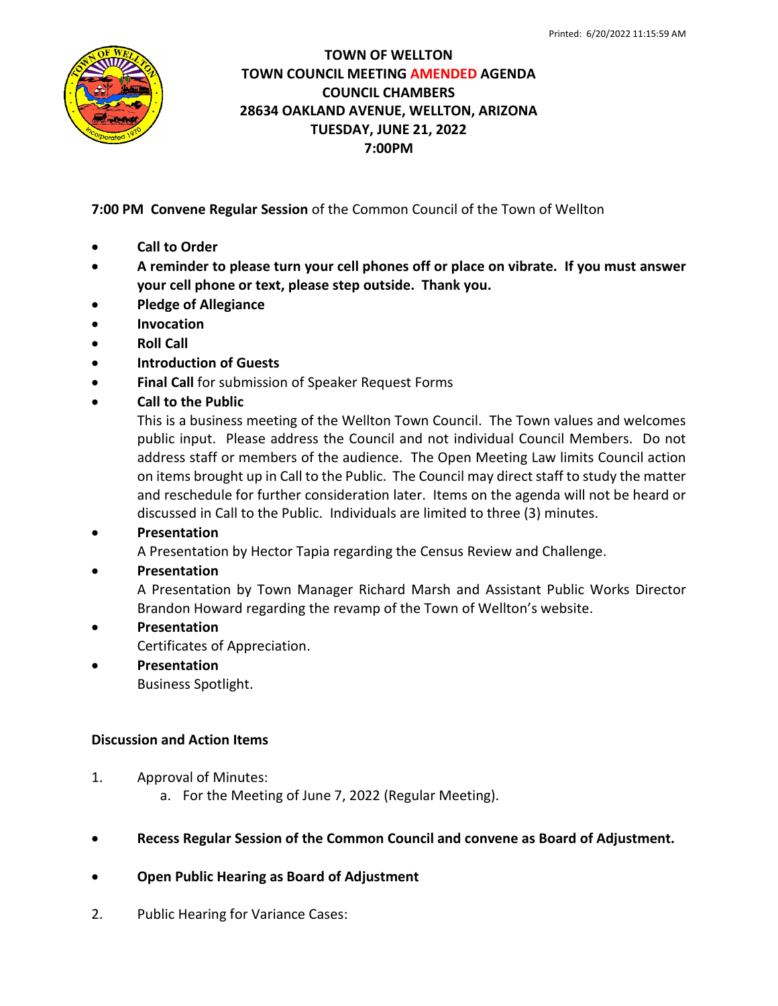

## **TOWN OF WELLTON TOWN COUNCIL MEETING AMENDED AGENDA COUNCIL CHAMBERS 28634 OAKLAND AVENUE, WELLTON, ARIZONA TUESDAY, JUNE 21, 2022 7:00PM**

**7:00 PM Convene Regular Session** of the Common Council of the Town of Wellton

- **Call to Order**
- **A reminder to please turn your cell phones off or place on vibrate. If you must answer your cell phone or text, please step outside. Thank you.**
- **Pledge of Allegiance**
- **Invocation**
- **Roll Call**
- **Introduction of Guests**
- **Final Call** for submission of Speaker Request Forms
- **Call to the Public**

This is a business meeting of the Wellton Town Council. The Town values and welcomes public input. Please address the Council and not individual Council Members. Do not address staff or members of the audience. The Open Meeting Law limits Council action on items brought up in Call to the Public. The Council may direct staff to study the matter and reschedule for further consideration later. Items on the agenda will not be heard or discussed in Call to the Public. Individuals are limited to three (3) minutes.

# • **Presentation**

A Presentation by Hector Tapia regarding the Census Review and Challenge.

### • **Presentation**

A Presentation by Town Manager Richard Marsh and Assistant Public Works Director Brandon Howard regarding the revamp of the Town of Wellton's website.

### • **Presentation**

Certificates of Appreciation.

• **Presentation**

Business Spotlight.

### **Discussion and Action Items**

- 1. Approval of Minutes:
	- a. For the Meeting of June 7, 2022 (Regular Meeting).
- **Recess Regular Session of the Common Council and convene as Board of Adjustment.**
- **Open Public Hearing as Board of Adjustment**
- 2. Public Hearing for Variance Cases: